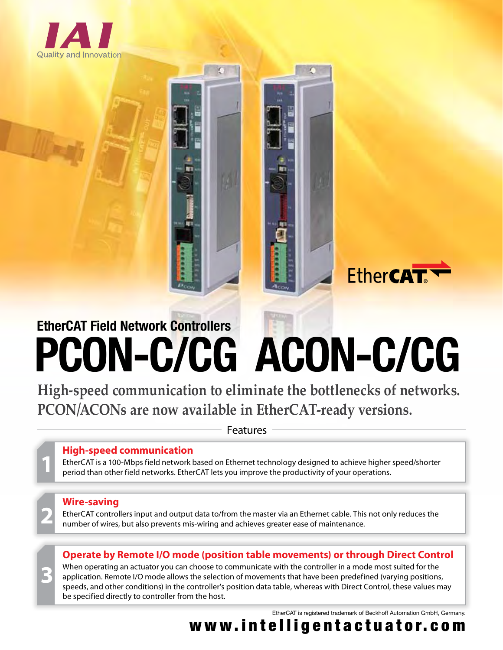

# **PCON-C/CG ACON-C/CG EtherCAT Field Network Controllers**

**High-speed communication to eliminate the bottlenecks of networks. PCON/ACONs are now available in EtherCAT-ready versions.** 

Features

## **High-speed communication**

EtherCAT is a 100-Mbps field network based on Ethernet technology designed to achieve higher speed/shorter period than other field networks. EtherCAT lets you improve the productivity of your operations.

## **Wire-saving**

**3**

EtherCAT controllers input and output data to/from the master via an Ethernet cable. This not only reduces the number of wires, but also prevents mis-wiring and achieves greater ease of maintenance.

**Operate by Remote I/O mode (position table movements) or through Direct Control** 

When operating an actuator you can choose to communicate with the controller in a mode most suited for the application. Remote I/O mode allows the selection of movements that have been predefined (varying positions, speeds, and other conditions) in the controller's position data table, whereas with Direct Control, these values may be specified directly to controller from the host.

EtherCAT is registered trademark of Beckhoff Automation GmbH, Germany.

**EtherCAT** 

www.intelligentactuator.com